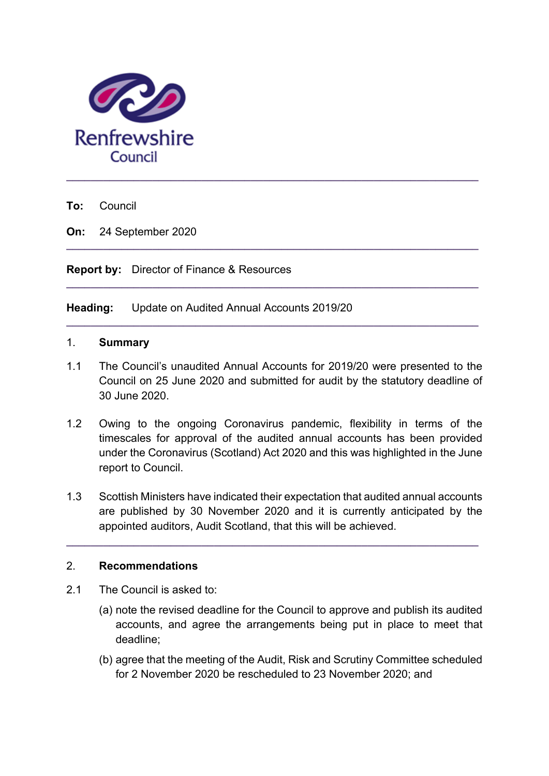

**To:** Council

**On:** 24 September 2020

**Report by:** Director of Finance & Resources

**Heading:** Update on Audited Annual Accounts 2019/20

## 1. **Summary**

1.1 The Council's unaudited Annual Accounts for 2019/20 were presented to the Council on 25 June 2020 and submitted for audit by the statutory deadline of 30 June 2020.

**\_\_\_\_\_\_\_\_\_\_\_\_\_\_\_\_\_\_\_\_\_\_\_\_\_\_\_\_\_\_\_\_\_\_\_\_\_\_\_\_\_\_\_\_\_\_\_\_\_\_\_\_\_\_\_\_\_\_\_\_\_\_\_\_\_\_\_** 

**\_\_\_\_\_\_\_\_\_\_\_\_\_\_\_\_\_\_\_\_\_\_\_\_\_\_\_\_\_\_\_\_\_\_\_\_\_\_\_\_\_\_\_\_\_\_\_\_\_\_\_\_\_\_\_\_\_\_\_\_\_\_\_\_\_\_\_** 

**\_\_\_\_\_\_\_\_\_\_\_\_\_\_\_\_\_\_\_\_\_\_\_\_\_\_\_\_\_\_\_\_\_\_\_\_\_\_\_\_\_\_\_\_\_\_\_\_\_\_\_\_\_\_\_\_\_\_\_\_\_\_\_\_\_\_\_** 

- 1.2 Owing to the ongoing Coronavirus pandemic, flexibility in terms of the timescales for approval of the audited annual accounts has been provided under the Coronavirus (Scotland) Act 2020 and this was highlighted in the June report to Council.
- 1.3 Scottish Ministers have indicated their expectation that audited annual accounts are published by 30 November 2020 and it is currently anticipated by the appointed auditors, Audit Scotland, that this will be achieved.

**\_\_\_\_\_\_\_\_\_\_\_\_\_\_\_\_\_\_\_\_\_\_\_\_\_\_\_\_\_\_\_\_\_\_\_\_\_\_\_\_\_\_\_\_\_\_\_\_\_\_\_\_\_\_\_\_\_\_\_\_\_\_\_\_\_\_\_** 

## 2. **Recommendations**

- 2.1 The Council is asked to:
	- (a) note the revised deadline for the Council to approve and publish its audited accounts, and agree the arrangements being put in place to meet that deadline;
	- (b) agree that the meeting of the Audit, Risk and Scrutiny Committee scheduled for 2 November 2020 be rescheduled to 23 November 2020; and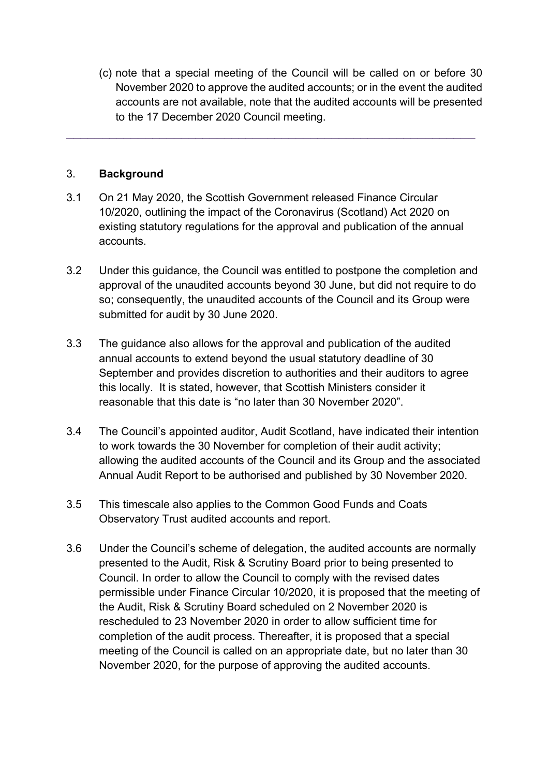(c) note that a special meeting of the Council will be called on or before 30 November 2020 to approve the audited accounts; or in the event the audited accounts are not available, note that the audited accounts will be presented to the 17 December 2020 Council meeting.

## 3. **Background**

3.1 On 21 May 2020, the Scottish Government released Finance Circular 10/2020, outlining the impact of the Coronavirus (Scotland) Act 2020 on existing statutory regulations for the approval and publication of the annual accounts.

\_\_\_\_\_\_\_\_\_\_\_\_\_\_\_\_\_\_\_\_\_\_\_\_\_\_\_\_\_\_\_\_\_\_\_\_\_\_\_\_\_\_\_\_\_\_\_\_\_\_\_\_\_\_\_\_\_

- 3.2 Under this guidance, the Council was entitled to postpone the completion and approval of the unaudited accounts beyond 30 June, but did not require to do so; consequently, the unaudited accounts of the Council and its Group were submitted for audit by 30 June 2020.
- 3.3 The guidance also allows for the approval and publication of the audited annual accounts to extend beyond the usual statutory deadline of 30 September and provides discretion to authorities and their auditors to agree this locally. It is stated, however, that Scottish Ministers consider it reasonable that this date is "no later than 30 November 2020".
- 3.4 The Council's appointed auditor, Audit Scotland, have indicated their intention to work towards the 30 November for completion of their audit activity; allowing the audited accounts of the Council and its Group and the associated Annual Audit Report to be authorised and published by 30 November 2020.
- 3.5 This timescale also applies to the Common Good Funds and Coats Observatory Trust audited accounts and report.
- 3.6 Under the Council's scheme of delegation, the audited accounts are normally presented to the Audit, Risk & Scrutiny Board prior to being presented to Council. In order to allow the Council to comply with the revised dates permissible under Finance Circular 10/2020, it is proposed that the meeting of the Audit, Risk & Scrutiny Board scheduled on 2 November 2020 is rescheduled to 23 November 2020 in order to allow sufficient time for completion of the audit process. Thereafter, it is proposed that a special meeting of the Council is called on an appropriate date, but no later than 30 November 2020, for the purpose of approving the audited accounts.